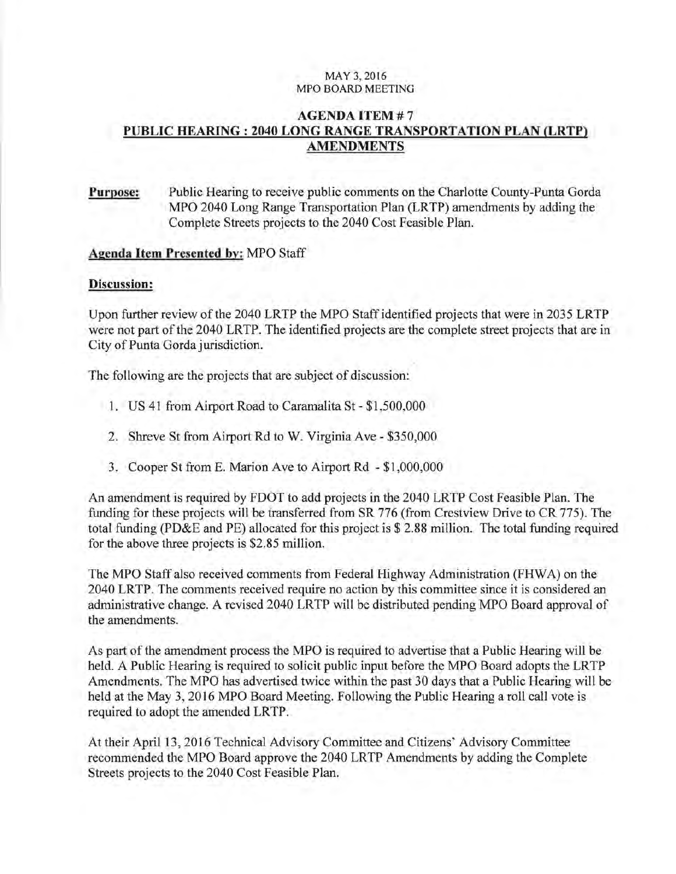## MAY 3, 2016 MPO BOARD MEETING

## **AGENDA ITEM# 7 PUBLIC HEARING: 2040 LONG RANGE TRANSPORTATION PLAN (LRTP) AMENDMENTS**

# **Purpose:** Public Hearing to receive public comments on the Charlotte County-Punta Gorda MPO 2040 Long Range Transportation Plan (LR TP) amendments by adding the Complete Streets projects to the 2040 Cost Feasible Plan.

## **Agenda Item Presented by:** MPO Staff

#### **Discussion:**

Upon further review of the 2040 LRTP the MPO Staff identified projects that were in 2035 LRTP were not part of the 2040 LRTP. The identified projects are the complete street projects that are in City of Punta Gorda jurisdiction.

The following are the projects that are subject of discussion:

- **1.** US 41 from Airport Road to Caramalita St- \$1,500,000
- 2. Shreve St from Airport Rd to W. Virginia Ave \$350,000
- 3. Cooper St from E. Marion Ave to Airport Rd \$1,000,000

An amendment is required by FDOT to add projects in the 2040 LRTP Cost Feasible Plan. The funding for these projects will be transferred from SR 776 (from Crestview Drive to CR 775). The total funding (PD&E and PE) allocated for this project is \$ 2.88 million. The total funding required for the above three projects is \$2.85 million.

The MPO Staff also received comments from Federal Highway Administration (FHWA) on the 2040 LRTP. The comments received require no action by this committee since it is considered an administrative change. A revised 2040 LR TP will be distributed pending MPO Board approval of the amendments.

As part of the amendment process the MPO is required to advertise that a Public Hearing will be held. A Public Hearing is required to solicit public input before the MPO Board adopts the LRTP Amendments. The MPO has advertised twice within the past 30 days that a Public Hearing will be held at the May 3, 2016 MPO Board Meeting. Following the Public Hearing a roll call vote is required to adopt the amended LRTP.

At their April 13, 2016 Technical Advisory Committee and Citizens' Advisory Committee recommended the MPO Board approve the 2040 LRTP Amendments by adding the Complete Streets projects to the 2040 Cost Feasible Plan.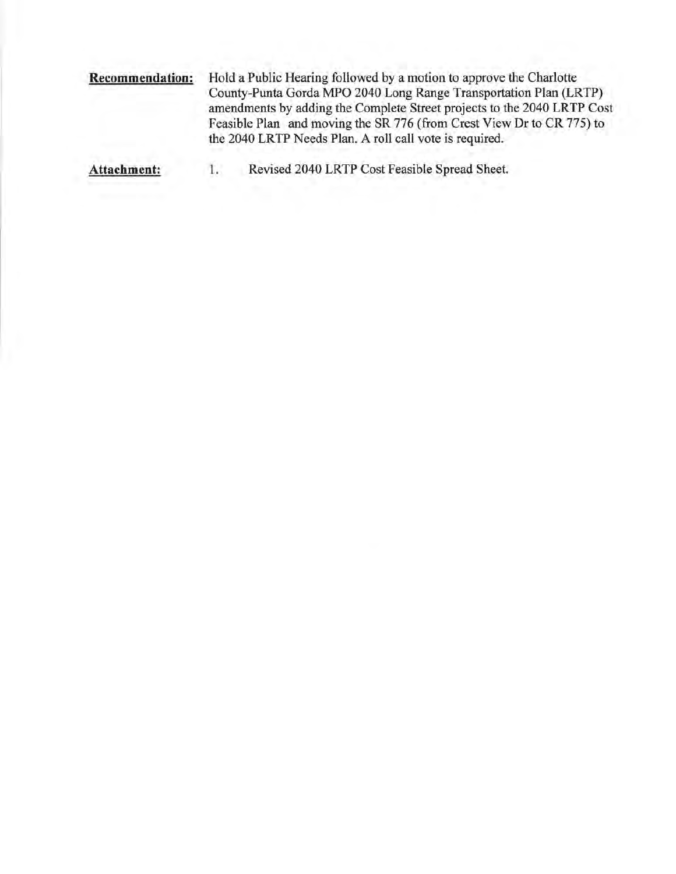**Recommendation:** Hold a Public Hearing followed by a motion to approve the Charlotte County-Punta Gorda MPO 2040 Long Range Transportation Plan (LRTP) amendments by adding the Complete Street projects to the 2040 LRTP Cost Feasible Plan and moving the SR 776 (from Crest View Dr to CR 775) to the 2040 LRTP Needs Plan. A roll call vote is required.

**Attachment:** 1. Revised 2040 LRTP Cost Feasible Spread Sheet.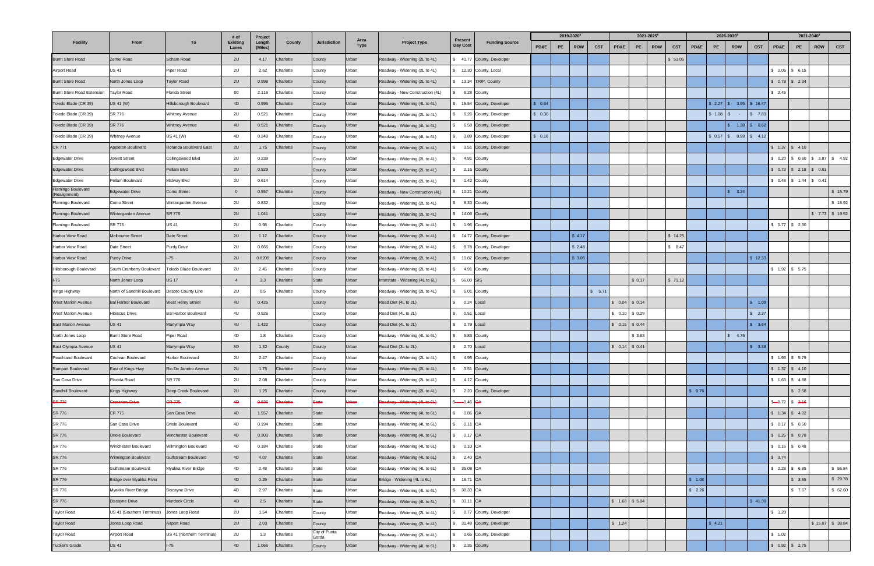| <b>Facility</b>                     |                                    |                             | # of                     | Project           |                  | Jurisdiction    | Area<br>Type | <b>Project Type</b>              | <b>Present</b><br>Day Cost | <b>Funding Source</b>      | 2019-2020 <sup>6</sup> |    |            |            |                 |        | 2021-2025 <sup>6</sup> |            |         | 2026-2030 <sup>6</sup> |                        |            | 2031-2040 <sup>6</sup> |                                 |            |                   |
|-------------------------------------|------------------------------------|-----------------------------|--------------------------|-------------------|------------------|-----------------|--------------|----------------------------------|----------------------------|----------------------------|------------------------|----|------------|------------|-----------------|--------|------------------------|------------|---------|------------------------|------------------------|------------|------------------------|---------------------------------|------------|-------------------|
|                                     | From                               | To                          | <b>Existing</b><br>Lanes | Length<br>(Miles) | County           |                 |              |                                  |                            |                            | PD&E                   | PE | <b>ROW</b> | <b>CST</b> | PD&E            | PE     | <b>ROW</b>             | <b>CST</b> | PD&E    | PE                     | <b>ROW</b>             | <b>CST</b> | PD&E                   | PE                              | <b>ROW</b> | <b>CST</b>        |
| <b>Burnt Store Road</b>             | Zemel Road                         | Scham Road                  | 2U                       | 4.17              | Charlotte        | County          | Urban        | Roadway - Widening (2L to 4L)    | \$ 41.77                   | County, Developer          |                        |    |            |            |                 |        |                        | \$53.05    |         |                        |                        |            |                        |                                 |            |                   |
| Airport Road                        | US 41                              | Piper Road                  | 2U                       | 2.62              | Charlotte        | County          | Urban        | Roadway - Widening (2L to 4L)    |                            | \$ 12.30 County, Local     |                        |    |            |            |                 |        |                        |            |         |                        |                        |            |                        | $$2.05$ \ \$ 6.15               |            |                   |
| <b>Burnt Store Road</b>             | North Jones Loop                   | <b>Taylor Road</b>          | 2U                       | 0.998             | Charlotte        | County          | Urban        | Roadway - Widening (2L to 4L)    | \$ 13.34                   | TRIP, County               |                        |    |            |            |                 |        |                        |            |         |                        |                        |            |                        | $$0.78$ $$2.34$                 |            |                   |
| <b>Burnt Store Road Extension</b>   | <b>Taylor Road</b>                 | <b>Florida Street</b>       | $00\,$                   | 2.116             | Charlotte        | County          | Urban        | Roadway - New Construction (4L)  |                            | 6.28 County                |                        |    |            |            |                 |        |                        |            |         |                        |                        |            | \$2.45                 |                                 |            |                   |
| Toledo Blade (CR 39)                | JS 41 (W)                          | Hillsborough Boulevard      | 4D                       | 0.995             | Charlotte        | County          | Urban        | Roadway - Widening (4L to 6L)    |                            | 15.54 County, Developer    | \$0.64                 |    |            |            |                 |        |                        |            |         |                        | $$2.27$ \ \$ 3.95      | \$16.47    |                        |                                 |            |                   |
| Toledo Blade (CR 39)                | SR 776                             | <b>Whitney Avenue</b>       | 2U                       | 0.521             | Charlotte        | County          | Urban        | Roadway - Widening (2L to 4L)    |                            | 6.26 County, Developer     | \$0.30                 |    |            |            |                 |        |                        |            |         | \$1.08                 | $\mathbb{S}$<br>$\sim$ | \$7.83     |                        |                                 |            |                   |
| Toledo Blade (CR 39)                | SR 776                             | <b>Whitney Avenue</b>       | 4U                       | 0.521             | Charlotte        | County          | Urban        | Roadway - Widening (4L to 6L)    |                            | 6.58 County, Developer     |                        |    |            |            |                 |        |                        |            |         |                        | 1.38                   | \$8.62     |                        |                                 |            |                   |
| Toledo Blade (CR 39)                | <b>Nhitney Avenue</b>              | US 41 (W)                   | 4D                       | 0.249             | Charlotte        | County          | Urban        | Roadway - Widening (4L to 6L)    |                            | 3.89 County, Developer     | \$0.16                 |    |            |            |                 |        |                        |            |         |                        | $$0.57$ $$0.99$        | \$ 4.12    |                        |                                 |            |                   |
| CR 771                              | Appleton Boulevard                 | Rotunda Boulevard East      | 2U                       | 1.75              | Charlotte        | County          | Urban        | Roadway - Widening (2L to 4L)    |                            | 3.51 County, Developer     |                        |    |            |            |                 |        |                        |            |         |                        |                        |            |                        | $$1.37$ $$4.10$                 |            |                   |
| <b>Edgewater Drive</b>              | lowett Street                      | Collingswood Blvd           | 2U                       | 0.239             |                  | County          | Urban        | Roadway - Widening (2L to 4L)    |                            | 4.91 County                |                        |    |            |            |                 |        |                        |            |         |                        |                        |            |                        | $$0.20$ $$0.60$ $$3.87$ $$4.92$ |            |                   |
| <b>Edgewater Drive</b>              | Collingswood Blvd                  | Pellam Blvd                 | 2U                       | 0.929             |                  | County          | Urban        | Roadway - Widening (2L to 4L)    |                            | 2.16 County                |                        |    |            |            |                 |        |                        |            |         |                        |                        |            |                        | $$0.73 \t{5} 2.18 \t{5} 0.63$   |            |                   |
| <b>Edgewater Drive</b>              | Pellam Boulevard                   | Midway Blvd                 | 2U                       | 0.614             |                  | County          | Urban        | Roadway - Widening (2L to 4L)    |                            | 1.42 County                |                        |    |            |            |                 |        |                        |            |         |                        |                        |            |                        | \$ 0.48 \$ 1.44 \$ 0.41         |            |                   |
| Flamingo Boulevard<br>(Realignment) | Edgewater Drive                    | Como Street                 | $\overline{0}$           | 0.557             | Charlotte        | County          | Urban        | Roadway - New Construction (4L)  | 10.21 County               |                            |                        |    |            |            |                 |        |                        |            |         |                        | \$3.24                 |            |                        |                                 |            | \$15.79           |
| Flamingo Boulevard                  | Como Street                        | Wintergarden Avenue         | 2U                       | 0.832             |                  | County          | Urban        | Roadway - Widening (2L to 4L)    |                            | 8.33 County                |                        |    |            |            |                 |        |                        |            |         |                        |                        |            |                        |                                 |            | \$15.92           |
| Flamingo Boulevard                  | Wintergarden Avenue                | <b>SR 776</b>               | 2U                       | 1.041             |                  | County          | Urban        | Roadway - Widening (2L to 4L)    | \$ 14.06 County            |                            |                        |    |            |            |                 |        |                        |            |         |                        |                        |            |                        |                                 |            | $$7.73$ $$19.92$  |
| Flamingo Boulevard                  | SR 776                             | <b>US 41</b>                | 2U                       | 0.98              | Charlotte        | County          | Urban        | Roadway - Widening (2L to 4L)    |                            | 1.96 County                |                        |    |            |            |                 |        |                        |            |         |                        |                        |            |                        | $$0.77$ $$2.30$                 |            |                   |
| Harbor View Road                    | Melbourne Street                   | Date Street                 | 2U                       | 1.12              | Charlotte        | County          | Urban        | Roadway - Widening (2L to 4L)    |                            | 14.77 County, Developer    |                        |    | \$4.17     |            |                 |        |                        | \$14.25    |         |                        |                        |            |                        |                                 |            |                   |
| Harbor View Road                    | Date Street                        | <b>Purdy Drive</b>          | 2U                       | 0.666             | Charlotte        | County          | Urban        | Roadway - Widening (2L to 4L)    |                            | 8.78 County, Developer     |                        |    | \$2.48     |            |                 |        |                        | \$8.47     |         |                        |                        |            |                        |                                 |            |                   |
| Harbor View Road                    | <b>Purdy Drive</b>                 | $I-75$                      | 2U                       | 0.8209            | Charlotte        | County          | Urban        | Roadway - Widening (2L to 4L)    |                            | \$ 10.82 County, Developer |                        |    | \$3.06     |            |                 |        |                        |            |         |                        |                        | \$12.33    |                        |                                 |            |                   |
| Hillsborough Boulevard              | South Cranberry Boulevard          | Toledo Blade Boulevard      | 2U                       | 2.45              | Charlotte        | County          | Urban        | Roadway - Widening (2L to 4L)    | 4.91                       | County                     |                        |    |            |            |                 |        |                        |            |         |                        |                        |            |                        | $$1.92$ \$ 5.75                 |            |                   |
| $I-75$                              | North Jones Loop                   | <b>US 17</b>                | $\overline{4}$           | 3.3               | Charlotte        | State           | Urban        | Interstate - Widening (4L to 6L) | 56.00 SIS                  |                            |                        |    |            |            |                 | \$0.17 |                        | \$71.12    |         |                        |                        |            |                        |                                 |            |                   |
| Kings Highway                       | <b>North of Sandhill Boulevard</b> | Desoto County Line          | 2U                       | 0.5               | Charlotte        | County          | Urban        | Roadway - Widening (2L to 4L)    |                            | 5.01 County                |                        |    |            | \$ 5.71    |                 |        |                        |            |         |                        |                        |            |                        |                                 |            |                   |
| <b>West Marion Avenue</b>           | <b>Bal Harbor Boulevard</b>        | <b>West Henry Street</b>    | 4U                       | 0.425             |                  | County          | Urban        | Road Diet (4L to 2L)             |                            | 0.24 Local                 |                        |    |            |            | $0.04$ \$ 0.14  |        |                        |            |         |                        |                        | \$ 1.09    |                        |                                 |            |                   |
| <b>West Marion Avenue</b>           | Hibiscus Drive                     | <b>Bal Harbor Boulevard</b> | 4U                       | 0.926             |                  | County          | Urban        | Road Diet (4L to 2L)             |                            | 0.51 Local                 |                        |    |            |            | $$0.10$ \$ 0.29 |        |                        |            |         |                        |                        | 52.37      |                        |                                 |            |                   |
| <b>East Marion Avenue</b>           | JS 41                              | Marlympia Way               | 4U                       | 1.422             |                  | County          | Urban        | Road Diet (4L to 2L)             |                            | 0.79 Local                 |                        |    |            |            | $$0.15$ $$0.44$ |        |                        |            |         |                        |                        | \$3.64     |                        |                                 |            |                   |
| North Jones Loop                    | <b>Burnt Store Road</b>            | Piper Road                  | 4D                       | 1.8               | Charlotte        | County          | Urban        | Roadway - Widening (4L to 6L)    |                            | 5.83 County                |                        |    |            |            |                 | \$3.63 |                        |            |         |                        | \$ 4.76                |            |                        |                                 |            |                   |
| East Olympia Avenue                 | <b>US 41</b>                       | Marlympia Way               | 30 <sup>°</sup>          | 1.32              | County           | County          | Urban        | Road Diet (3L to 2L)             |                            | 2.70 Local                 |                        |    |            |            | $$0.14$ $$0.41$ |        |                        |            |         |                        |                        | \$3.38     |                        |                                 |            |                   |
| Peachland Boulevard                 | Cochran Boulevard                  | Harbor Boulevard            | 2U                       | 2.47              | Charlotte        | County          | Urban        | Roadway - Widening (2L to 4L)    |                            | 4.95 County                |                        |    |            |            |                 |        |                        |            |         |                        |                        |            |                        | $$1.93$ $$5.79$                 |            |                   |
| Rampart Boulevard                   | East of Kings Hwy                  | Rio De Janeiro Avenue       | 2U                       | 1.75              | Charlotte        | County          | Urban        | Roadway - Widening (2L to 4L)    |                            | 3.51 County                |                        |    |            |            |                 |        |                        |            |         |                        |                        |            |                        | $$1.37$ $$4.10$                 |            |                   |
| San Casa Drive                      | Placida Road                       | SR 776                      | 2U                       | 2.08              | Charlotte        | County          | Urban        | Roadway - Widening (2L to 4L)    |                            | 4.17 County                |                        |    |            |            |                 |        |                        |            |         |                        |                        |            |                        | $$1.63$ $$4.88$                 |            |                   |
| Sandhill Boulevard                  | Kings Highway                      | Deep Creek Boulevard        | 2U                       | 1.25              | Charlotte        | County          | Urban        | Roadway - Widening (2L to 4L)    |                            | 2.20 County, Developer     |                        |    |            |            |                 |        |                        |            | \$0.76  |                        |                        |            |                        | \$2.58                          |            |                   |
| <b>SR 776</b>                       | Crestview Drive                    | <b>CR 775</b>               | 4D                       | 0.836             | <b>Charlotte</b> | <b>State</b>    | Urban        | Roadway - Widening (4L to 6L)    | $-0.46$ OA                 |                            |                        |    |            |            |                 |        |                        |            |         |                        |                        |            |                        | $$-0.72$ \$ 2.16                |            |                   |
| <b>SR 776</b>                       | CR 775                             | San Casa Drive              | 4D                       | 1.557             | Charlotte        | State           | Urban        | Roadway - Widening (4L to 6L)    | \$ 0.86 OA                 |                            |                        |    |            |            |                 |        |                        |            |         |                        |                        |            |                        | $$1.34$ $$4.02$                 |            |                   |
| SR 776                              | San Casa Drive                     | Oriole Boulevard            | 4D                       | 0.194             | Charlotte        | State           | Urban        | Roadway - Widening (4L to 6L)    | \$ 0.11 OA                 |                            |                        |    |            |            |                 |        |                        |            |         |                        |                        |            |                        | $$0.17$ \$ 0.50                 |            |                   |
| SR 776                              | Oriole Boulevard                   | Winchester Boulevard        | 4D                       | 0.303             | Charlotte        | State           | Urban        | Roadway - Widening (4L to 6L)    | \$ 0.17 OA                 |                            |                        |    |            |            |                 |        |                        |            |         |                        |                        |            |                        | $$0.26$ \ \$ 0.78               |            |                   |
| SR 776                              | <b>Ninchester Boulevard</b>        | Wilmington Boulevard        | 4D                       | 0.184             | Charlotte        | State           | Urban        | Roadway - Widening (4L to 6L)    | 0.10 OA                    |                            |                        |    |            |            |                 |        |                        |            |         |                        |                        |            |                        | $$0.16$ \ \$ 0.48               |            |                   |
| <b>SR 776</b>                       | <b>Nilmington Boulevard</b>        | Gulfstream Boulevard        | 4D                       | 4.07              | Charlotte        | State           | Urban        | Roadway - Widening (4L to 6L)    | 2.40 OA                    |                            |                        |    |            |            |                 |        |                        |            |         |                        |                        |            | \$3.74                 |                                 |            |                   |
| SR 776                              | Gulfstream Boulevard               | Myakka River Bridge         | 4D                       | 2.48              | Charlotte        | State           | Urban        | Roadway - Widening (4L to 6L)    | 35.08 OA                   |                            |                        |    |            |            |                 |        |                        |            |         |                        |                        |            |                        | $$2.28$ \$6.85                  |            | \$55.84           |
| <b>SR 776</b>                       | Bridge over Myakka River           |                             | 4D                       | 0.25              | Charlotte        | State           | Urban        | Bridge - Widening (4L to 6L)     | \$ 18.71 OA                |                            |                        |    |            |            |                 |        |                        |            | \$ 1.08 |                        |                        |            |                        | \$3.65                          |            | \$29.78           |
| SR 776                              | Myakka River Bridge                | <b>Biscayne Drive</b>       | 4D                       | 2.97              | Charlotte        | State           | Urban        | Roadway - Widening (4L to 6L)    | \$ 39.33 OA                |                            |                        |    |            |            |                 |        |                        |            | \$2.26  |                        |                        |            |                        | \$7.67                          |            | \$62.60           |
| <b>SR 776</b>                       | <b>Biscayne Drive</b>              | Murdock Circle              | 4D                       | 2.5               | Charlotte        | State           | Urban        | Roadway - Widening (4L to 6L)    | \$ 33.11 OA                |                            |                        |    |            |            | $$1.68$ $$5.04$ |        |                        |            |         |                        |                        | \$41.38    |                        |                                 |            |                   |
| <b>Taylor Road</b>                  | US 41 (Southern Terminus)          | Jones Loop Road             | 2U                       | 1.54              | Charlotte        | County          | Urban        | Roadway - Widening (2L to 4L)    |                            | 0.77 County, Developer     |                        |    |            |            |                 |        |                        |            |         |                        |                        |            | \$ 1.20                |                                 |            |                   |
| <b>Taylor Road</b>                  | Jones Loop Road                    | Airport Road                | 2U                       | 2.03              | Charlotte        | County          | Urban        | Roadway - Widening (2L to 4L)    |                            | \$ 31.48 County, Developer |                        |    |            |            | \$ 1.24         |        |                        |            |         | \$4.21                 |                        |            |                        |                                 |            | $$15.07$ $$38.84$ |
| Taylor Road                         | Airport Road                       | US 41 (Northern Terminus)   | 2U                       | 1.3               | Charlotte        | City of Punta   | Urban        | Roadway - Widening (2L to 4L)    |                            | 0.65 County, Developer     |                        |    |            |            |                 |        |                        |            |         |                        |                        |            | \$ 1.02                |                                 |            |                   |
| <b>Tucker's Grade</b>               | <b>US 41</b>                       | $I-75$                      | 4D                       | 1.066             | Charlotte        | Gorda<br>County | Urban        | Roadway - Widening (4L to 6L)    | \$ 2.35 County             |                            |                        |    |            |            |                 |        |                        |            |         |                        |                        |            |                        | $$0.92$ \ \$ 2.75               |            |                   |
|                                     |                                    |                             |                          |                   |                  |                 |              |                                  |                            |                            |                        |    |            |            |                 |        |                        |            |         |                        |                        |            |                        |                                 |            |                   |